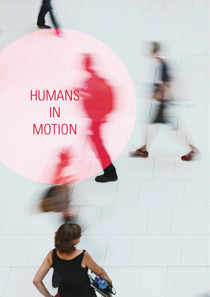HUMANS IN MOTION

 $\overline{\mathsf{L}}$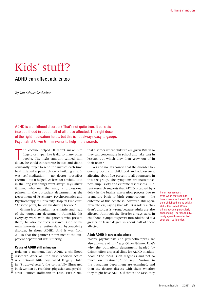# Kids' stuff?

## ADHD can affect adults too

*By Jan Schwenkenbecher*

ADHD is a childhood disorder? That's not quite true. It persists into adulthood in about half of all those affected. The right dose of the right medication helps, but this is not always easy to gauge. Psychiatrist Oliver Grimm wants to help in the search.

T he cocaine helped. It didn't make him fidgety or hyper like it did so many other people. The right amount calmed him down, he could concentrate better, and didn't constantly forget to send the invoice each time he'd finished a paint job on a building site. It was self-medication – no doctor prescribes cocaine – but it helped. At least for a while. "But in the long run things went awry," says Oliver Grimm, who met the man, a professional painter, in the outpatient department at the Department of Psychiatry, Psychosomatics and Psychotherapy of University Hospital Frankfurt. "At some point, he lost his driving licence."

Grimm is a consultant psychiatrist and head of the outpatient department. Alongside his everyday work with the patients who present there, he also conducts research. One of his main interests is attention deficit hyperactivity disorder, in short: ADHD. And it was from ADHD that the painter Grimm met at the outpatient department was suffering.

#### **Cause of ADHD still unknown**

Dettmar Photo: Uwe DettmarJwe Photo: L

Hold on a moment. Isn't ADHD a childhood disorder? After all, the first reported "case" is a fictional little boy called Fidgety Philip in "Struwwelpeter", the colourfully illustrated book written by Frankfurt physician and psychiatrist Heinrich Hoffmann in 1844. Isn't ADHD that disorder where children are given Ritalin so they can concentrate in school and take part in lessons, but which they then grow out of in their teens?

Yes and no. It's correct that the disorder frequently occurs in childhood and adolescence, affecting about five percent of all youngsters in this age group. The symptoms are inattentiveness, impulsivity and extreme restlessness. Current research suggests that ADHD is caused by a delay in the brain's maturation process due to premature birth or birth complications – the outcome of this debate is, however, still open. Nevertheless, saying that ADHD is solely a children's disorder is wrong because adults are also affected. Although the disorder always starts in childhood, symptoms persist into adulthood to a greater or lesser degree in about half of those affected.

#### **Adult ADHD in stress situations**

"Many psychiatrists and psychotherapists are also unaware of this," says Oliver Grimm. That's why the outpatient department headed by Grimm offers a special clinic for ADHD in adulthood. "The focus is on diagnosis and not so much on treatment," he says. Visitors to the outpatient department are examined, and then the doctors discuss with them whether they might have ADHD. If that is the case, they

Inner restlessness: even when they seem to have overcome the ADHD of their childhood, many adults still suffer from it. When things become particularly challenging – career, family, mortgage – those affected soon start to flounder.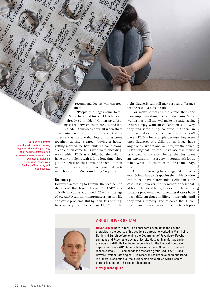recommend doctors who can treat them.

"People of all ages come to us. Some have just turned 18, others are already 60 or older," Grimm says. "But most are between their late 20s and late 30s." ADHD surfaces above all when there is particular pressure from outside. And it's precisely at this age that lots of things come together: starting a career, buying a house, getting married, perhaps children come along. "People often come to us who were once diagnosed with ADHD as a child, but then didn't have any problems with it for a long time. They got through it on their own, and then, in their mid-30s, they come to our outpatient department because they're floundering," says Grimm.

#### **No magic pill**

Various symptoms: in addition to inattentiveness, hyperactivity and impulsivity, adult ADHD sufferers often experience several secondary symptoms, including depressive moods with feelings of inferiority and hopelessness.

> However, according to Grimm, the idea behind the special clinic is to look again for ADHD specifically in young adulthood. "Even at the age of 60, ADHD can still compromise a person's life and cause problems. But by then, lots of things have already been decided. At 18, 19, 20, the

right diagnosis can still make a real difference for the rest of a person's life."

For many visitors to the clinic, that's the most important thing: the right diagnosis. Some want a magic pill that will make life easier again. Others simply want an explanation as to why they find some things so difficult. Others, in turn, would even rather hear that they don't have ADHD – for example because they were once diagnosed as a child, but no longer have any trouble with it and want to join the police. "Clarifying that – whether it's a case of immense psychological stress or whether they just want an 'explanation' – is a very important task for us when we talk to them for the first time," says Grimm.

And those looking for a magic pill? In general, Grimm has to disappoint them. Medication can indeed have a tremendous effect in some cases. It is, however, mostly rather the case that, although it indeed helps, it does not solve all the patient's problems. And sometimes doctors have to try different drugs in different strengths until they find a remedy. The research that Oliver Grimm and his team are conducting targets pre-



### ABOUT OLIVER GRIMM

**Oliver Grimm**, born in 1975, is a consultant psychiatrist and psychotherapist. In the course of his academic career, he worked in Mannheim, Berlin and Zurich before joining the Department of Psychiatry, Psychosomatics and Psychotherapy at University Hospital Frankfurt as senior physician in 2016. He has been responsible for the hospital's outpatient department since 2019. Alongside his work there, Grimm also conducts research into ADHD and heads the research group "Adult ADHD and Reward System Pathologies." His research results have been published in numerous scientific journals. Alongside his work on ADHD, schizophrenia is another of his research interests.

**[oliver.grimm@kgu.de](mailto:oliver.grimm@kgu.de)**

Photos: Aninka BongersSutherland/Shutterstock (blister), Alex Green/Pexels (person)

BongersSutherland/Shutterstock (bl

nka Ę

Green/Pe

Alex ister).

 $\frac{1}{\sqrt{2}}$ 

**HATTIS MAN**